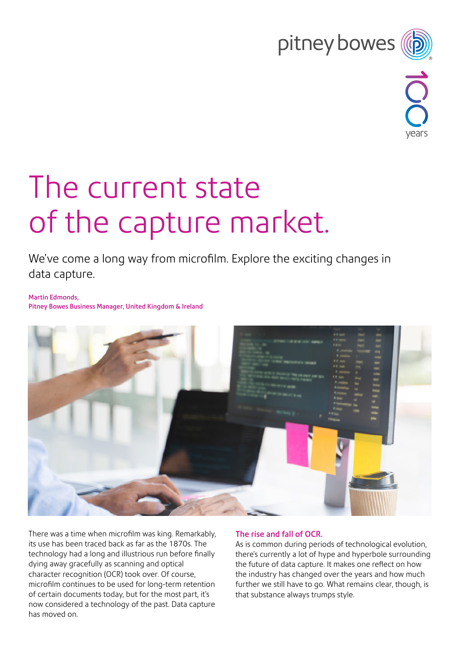# pitney bowes



# The current state of the capture market.

We've come a long way from microfilm. Explore the exciting changes in data capture.

Martin Edmonds, Pitney Bowes Business Manager, United Kingdom & Ireland



There was a time when microfilm was king. Remarkably, its use has been traced back as far as the 1870s. The technology had a long and illustrious run before finally dying away gracefully as scanning and optical character recognition (OCR) took over. Of course, microfilm continues to be used for long-term retention of certain documents today, but for the most part, it's now considered a technology of the past. Data capture has moved on.

## The rise and fall of OCR.

As is common during periods of technological evolution, there's currently a lot of hype and hyperbole surrounding the future of data capture. It makes one reflect on how the industry has changed over the years and how much further we still have to go. What remains clear, though, is that substance always trumps style.